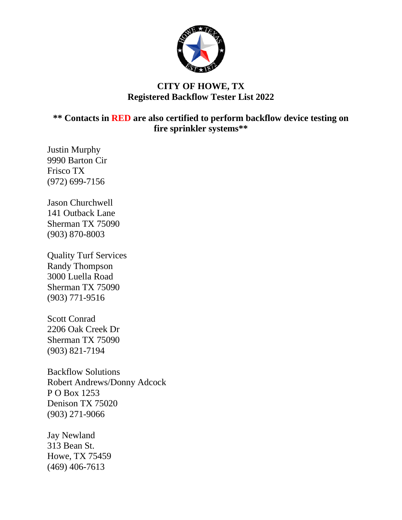

## **CITY OF HOWE, TX Registered Backflow Tester List 2022**

**\*\* Contacts in RED are also certified to perform backflow device testing on fire sprinkler systems\*\***

Justin Murphy 9990 Barton Cir Frisco TX (972) 699-7156

Jason Churchwell 141 Outback Lane Sherman TX 75090 (903) 870-8003

Quality Turf Services Randy Thompson 3000 Luella Road Sherman TX 75090 (903) 771-9516

Scott Conrad 2206 Oak Creek Dr Sherman TX 75090 (903) 821-7194

Backflow Solutions Robert Andrews/Donny Adcock P O Box 1253 Denison TX 75020 (903) 271-9066

Jay Newland 313 Bean St. Howe, TX 75459 (469) 406-7613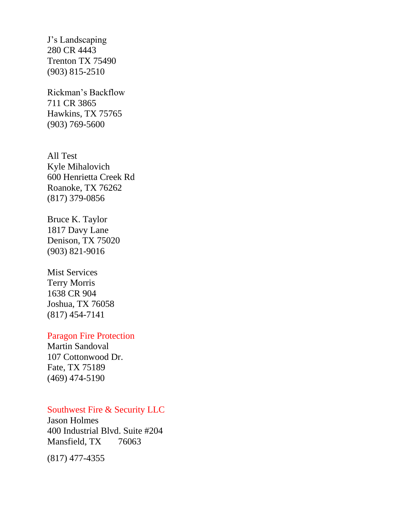J's Landscaping 280 CR 4443 Trenton TX 75490 (903) 815-2510

Rickman's Backflow 711 CR 3865 Hawkins, TX 75765 (903) 769-5600

All Test Kyle Mihalovich 600 Henrietta Creek Rd Roanoke, TX 76262 (817) 379-0856

Bruce K. Taylor 1817 Davy Lane Denison, TX 75020 (903) 821-9016

Mist Services Terry Morris 1638 CR 904 Joshua, TX 76058 (817) 454-7141

### Paragon Fire Protection

Martin Sandoval 107 Cottonwood Dr. Fate, TX 75189 (469) 474-5190

# Southwest Fire & Security LLC

Jason Holmes 400 Industrial Blvd. Suite #204 Mansfield, TX 76063

(817) 477-4355